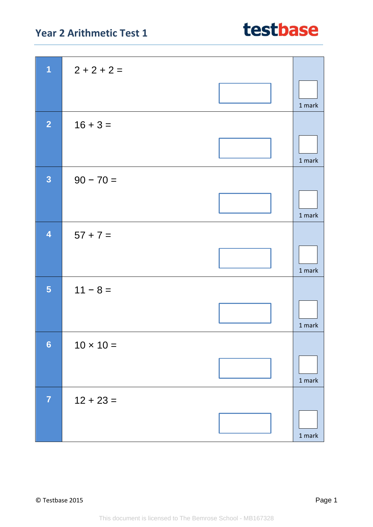## **Year 2 Arithmetic Test 1**

| 1                       | $2 + 2 + 2 =$    |                                   |
|-------------------------|------------------|-----------------------------------|
|                         |                  |                                   |
|                         |                  | 1 mark                            |
|                         |                  |                                   |
| $\overline{2}$          | $16 + 3 =$       |                                   |
|                         |                  |                                   |
|                         |                  | 1 mark                            |
| $\overline{3}$          | $90 - 70 =$      |                                   |
|                         |                  |                                   |
|                         |                  | 1 mark                            |
|                         |                  |                                   |
| $\overline{\mathbf{4}}$ | $57 + 7 =$       |                                   |
|                         |                  |                                   |
|                         |                  | 1 mark                            |
| 5                       | $11 - 8 =$       |                                   |
|                         |                  |                                   |
|                         |                  | 1 mark                            |
|                         |                  |                                   |
| $6\phantom{a}$          | $10 \times 10 =$ |                                   |
|                         |                  |                                   |
|                         |                  | 1 mark                            |
| $\overline{7}$          | $12 + 23 =$      |                                   |
|                         |                  |                                   |
|                         |                  | $1 \ensuremath{\, \mathrm{mark}}$ |
|                         |                  |                                   |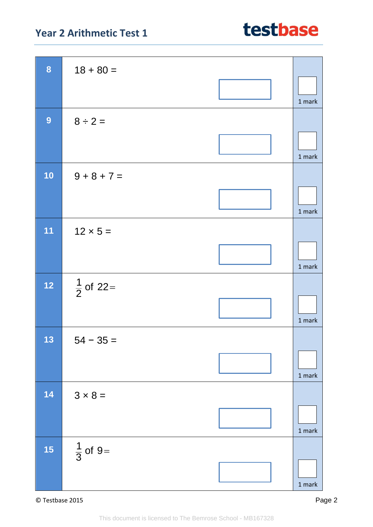## **Year 2 Arithmetic Test 1**

| 8         | $18 + 80 =$          |               |
|-----------|----------------------|---------------|
|           |                      | 1 mark        |
| 9         | $8 \div 2 =$         |               |
|           |                      | 1 mark        |
| 10        | $9 + 8 + 7 =$        |               |
|           |                      | 1 mark        |
| 11        | $12 \times 5 =$      |               |
|           |                      | 1 mark        |
| $12$      | $\frac{1}{2}$ of 22= |               |
|           |                      | 1 mark        |
| 13        | $54 - 35 =$          |               |
|           |                      | 1 mark        |
| 14        | $3 \times 8 =$       |               |
|           |                      | $1$ mark      |
| <b>15</b> | $\frac{1}{3}$ of 9=  |               |
|           |                      | $1$ mark $\,$ |

© Testbase 2015 Page 2